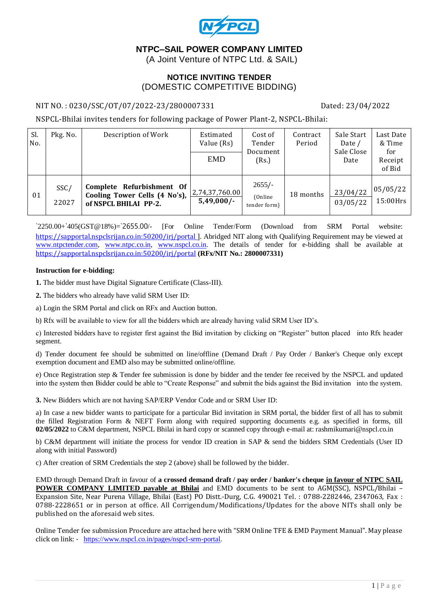

# **NTPC–SAIL POWER COMPANY LIMITED**

(A Joint Venture of NTPC Ltd. & SAIL)

## **NOTICE INVITING TENDER** (DOMESTIC COMPETITIVE BIDDING)

#### NIT NO. : 0230/SSC/OT/07/2022-23/2800007331 Dated: 23/04/2022

NSPCL-Bhilai invites tenders for following package of Power Plant-2, NSPCL-Bhilai:

| Sl.<br>No. | Pkg. No.      | Description of Work                                                                 | Estimated<br>Value (Rs)<br><b>EMD</b> | Cost of<br>Tender<br>Document<br>(Rs.) | Contract<br>Period | Sale Start<br>Date /<br>Sale Close<br>Date | Last Date<br>& Time<br>for<br>Receipt<br>of Bid |
|------------|---------------|-------------------------------------------------------------------------------------|---------------------------------------|----------------------------------------|--------------------|--------------------------------------------|-------------------------------------------------|
| 01         | SSC/<br>22027 | Complete Refurbishment Of<br>Cooling Tower Cells (4 No's),<br>of NSPCL BHILAI PP-2. | 2,74,37,760.00 <br>$5,49,000/-$       | $2655/-$<br>(Online)<br>tender form)   | 18 months          | 23/04/22<br>03/05/22                       | 05/05/22<br>15:00Hrs                            |

 $2250.00+\frac{1}{9}05(GST@18\%)=2655.00/$  [For Online Tender/Form (Download from SRM Portal website: <https://sapportal.nspclsrijan.co.in:50200/irj/portal>]. Abridged NIT along with Qualifying Requirement may be viewed at [www.ntpctender.com,](http://www.ntpctender.com/) [www.ntpc.co.in,](http://www.ntpc.co.in/) [www.nspcl.co.in.](http://www.nspcl.co.in/) The details of tender for e-bidding shall be available at <https://sapportal.nspclsrijan.co.in:50200/irj/portal> **(RFx/NIT No.: 2800007331)**

#### **Instruction for e-bidding:**

**1.** The bidder must have Digital Signature Certificate (Class-III).

**2.** The bidders who already have valid SRM User ID:

a) Login the SRM Portal and click on RFx and Auction button.

b) Rfx will be available to view for all the bidders which are already having valid SRM User ID's.

c) Interested bidders have to register first against the Bid invitation by clicking on "Register" button placed into Rfx header segment.

d) Tender document fee should be submitted on line/offline (Demand Draft / Pay Order / Banker's Cheque only except exemption document and EMD also may be submitted online/offline.

e) Once Registration step & Tender fee submission is done by bidder and the tender fee received by the NSPCL and updated into the system then Bidder could be able to "Create Response" and submit the bids against the Bid invitation into the system.

**3.** New Bidders which are not having SAP/ERP Vendor Code and or SRM User ID:

a) In case a new bidder wants to participate for a particular Bid invitation in SRM portal, the bidder first of all has to submit the filled Registration Form & NEFT Form along with required supporting documents e.g. as specified in forms, till **02/05/2022** to C&M department, NSPCL Bhilai in hard copy or scanned copy through e-mail at: rashmikumari@nspcl.co.in

b) C&M department will initiate the process for vendor ID creation in SAP & send the bidders SRM Credentials (User ID along with initial Password)

c) After creation of SRM Credentials the step 2 (above) shall be followed by the bidder.

EMD through Demand Draft in favour of **a crossed demand draft / pay order / banker's cheque in favour of NTPC SAIL POWER COMPANY LIMITED payable at Bhilai** and EMD documents to be sent to AGM(SSC), NSPCL/Bhilai – Expansion Site, Near Purena Village, Bhilai (East) PO Distt.-Durg, C.G. 490021 Tel. : 0788-2282446, 2347063, Fax : 0788-2228651 or in person at office. All Corrigendum/Modifications/Updates for the above NITs shall only be published on the aforesaid web sites.

Online Tender fee submission Procedure are attached here with "SRM Online TFE & EMD Payment Manual". May please click on link: - [https://www.nspcl.co.in/pages/nspcl-srm-portal.](https://www.nspcl.co.in/pages/nspcl-srm-portal)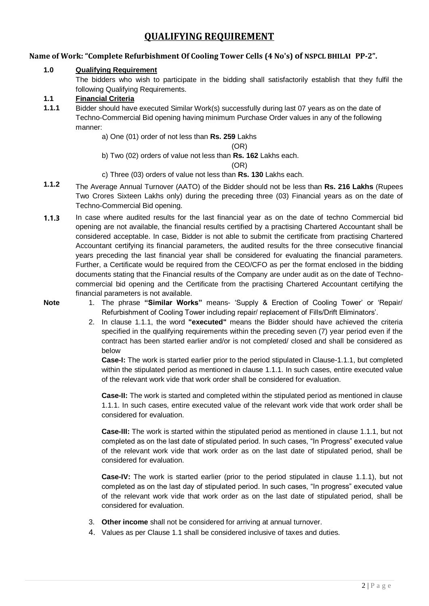# **QUALIFYING REQUIREMENT**

## **Name of Work: "Complete Refurbishment Of Cooling Tower Cells (4 No's) of NSPCL BHILAI PP-2".**

#### **1.0 Qualifying Requirement**

The bidders who wish to participate in the bidding shall satisfactorily establish that they fulfil the following Qualifying Requirements.

## **1.1 Financial Criteria**

**1.1.1** Bidder should have executed Similar Work(s) successfully during last 07 years as on the date of Techno-Commercial Bid opening having minimum Purchase Order values in any of the following manner:

a) One (01) order of not less than **Rs. 259** Lakhs

(OR)

b) Two (02) orders of value not less than **Rs. 162** Lakhs each.

#### (OR)

- c) Three (03) orders of value not less than **Rs. 130** Lakhs each.
- **1.1.2** The Average Annual Turnover (AATO) of the Bidder should not be less than **Rs. 216 Lakhs** (Rupees Two Crores Sixteen Lakhs only) during the preceding three (03) Financial years as on the date of Techno-Commercial Bid opening.
- **1.1.3** In case where audited results for the last financial year as on the date of techno Commercial bid opening are not available, the financial results certified by a practising Chartered Accountant shall be considered acceptable. In case, Bidder is not able to submit the certificate from practising Chartered Accountant certifying its financial parameters, the audited results for the three consecutive financial years preceding the last financial year shall be considered for evaluating the financial parameters. Further, a Certificate would be required from the CEO/CFO as per the format enclosed in the bidding documents stating that the Financial results of the Company are under audit as on the date of Technocommercial bid opening and the Certificate from the practising Chartered Accountant certifying the financial parameters is not available.
- 
- **Note** 1. The phrase **"Similar Works"** means- 'Supply & Erection of Cooling Tower' or 'Repair/ Refurbishment of Cooling Tower including repair/ replacement of Fills/Drift Eliminators'.
	- 2. In clause 1.1.1, the word **"executed"** means the Bidder should have achieved the criteria specified in the qualifying requirements within the preceding seven (7) year period even if the contract has been started earlier and/or is not completed/ closed and shall be considered as below

**Case-I:** The work is started earlier prior to the period stipulated in Clause-1.1.1, but completed within the stipulated period as mentioned in clause 1.1.1. In such cases, entire executed value of the relevant work vide that work order shall be considered for evaluation.

**Case-II:** The work is started and completed within the stipulated period as mentioned in clause 1.1.1. In such cases, entire executed value of the relevant work vide that work order shall be considered for evaluation.

**Case-III:** The work is started within the stipulated period as mentioned in clause 1.1.1, but not completed as on the last date of stipulated period. In such cases, "In Progress" executed value of the relevant work vide that work order as on the last date of stipulated period, shall be considered for evaluation.

**Case-IV:** The work is started earlier (prior to the period stipulated in clause 1.1.1), but not completed as on the last day of stipulated period. In such cases, "In progress" executed value of the relevant work vide that work order as on the last date of stipulated period, shall be considered for evaluation.

- 3. **Other income** shall not be considered for arriving at annual turnover.
- 4. Values as per Clause 1.1 shall be considered inclusive of taxes and duties.